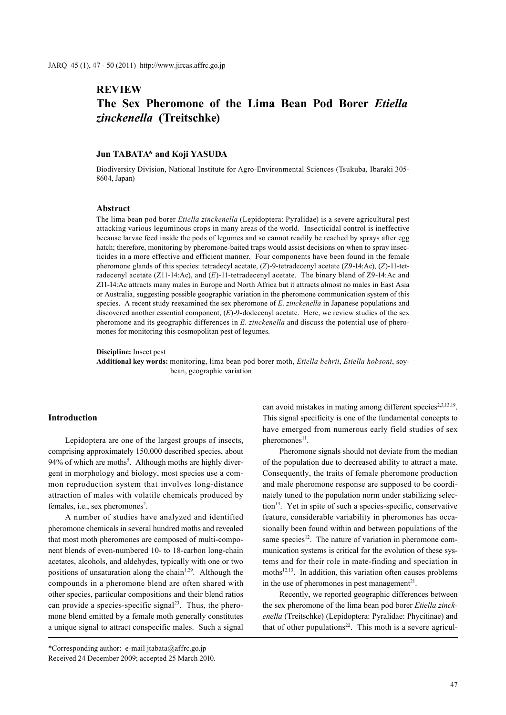# **REVIEW The Sex Pheromone of the Lima Bean Pod Borer** *Etiella zinckenella* **(Treitschke)**

### **Jun TABATA\* and Koji YASUDA**

Biodiversity Division, National Institute for Agro-Environmental Sciences (Tsukuba, Ibaraki 305- 8604, Japan)

#### **Abstract**

The lima bean pod borer *Etiella zinckenella* (Lepidoptera: Pyralidae) is a severe agricultural pest attacking various leguminous crops in many areas of the world. Insecticidal control is ineffective because larvae feed inside the pods of legumes and so cannot readily be reached by sprays after egg hatch; therefore, monitoring by pheromone-baited traps would assist decisions on when to spray insecticides in a more effective and efficient manner. Four components have been found in the female pheromone glands of this species: tetradecyl acetate, (*Z*)-9-tetradecenyl acetate (Z9-14:Ac), (*Z*)-11-tetradecenyl acetate (Z11-14:Ac), and (*E*)-11-tetradecenyl acetate. The binary blend of Z9-14:Ac and Z11-14:Ac attracts many males in Europe and North Africa but it attracts almost no males in East Asia or Australia, suggesting possible geographic variation in the pheromone communication system of this species. A recent study reexamined the sex pheromone of *E*. *zinckenella* in Japanese populations and discovered another essential component, (*E*)-9-dodecenyl acetate. Here, we review studies of the sex pheromone and its geographic differences in *E*. *zinckenella* and discuss the potential use of pheromones for monitoring this cosmopolitan pest of legumes.

**Discipline:** Insect pest

**Additional key words:** monitoring, lima bean pod borer moth, *Etiella behrii*, *Etiella hobsoni*, soybean, geographic variation

# **Introduction**

Lepidoptera are one of the largest groups of insects, comprising approximately 150,000 described species, about 94% of which are moths<sup>5</sup>. Although moths are highly divergent in morphology and biology, most species use a common reproduction system that involves long-distance attraction of males with volatile chemicals produced by females, i.e., sex pheromones<sup>2</sup>.

A number of studies have analyzed and identified pheromone chemicals in several hundred moths and revealed that most moth pheromones are composed of multi-component blends of even-numbered 10- to 18-carbon long-chain acetates, alcohols, and aldehydes, typically with one or two positions of unsaturation along the chain<sup>1,29</sup>. Although the compounds in a pheromone blend are often shared with other species, particular compositions and their blend ratios can provide a species-specific signal<sup>23</sup>. Thus, the pheromone blend emitted by a female moth generally constitutes a unique signal to attract conspecific males. Such a signal

\*Corresponding author: e-mail jtabata@affrc.go.jp Received 24 December 2009; accepted 25 March 2010. can avoid mistakes in mating among different species<sup>2,3,13,19</sup>. This signal specificity is one of the fundamental concepts to have emerged from numerous early field studies of sex pheromones<sup>11</sup>.

Pheromone signals should not deviate from the median of the population due to decreased ability to attract a mate. Consequently, the traits of female pheromone production and male pheromone response are supposed to be coordinately tuned to the population norm under stabilizing selection<sup>13</sup>. Yet in spite of such a species-specific, conservative feature, considerable variability in pheromones has occasionally been found within and between populations of the same species $12$ . The nature of variation in pheromone communication systems is critical for the evolution of these systems and for their role in mate-finding and speciation in moths $12,13$ . In addition, this variation often causes problems in the use of pheromones in pest management<sup>21</sup>.

Recently, we reported geographic differences between the sex pheromone of the lima bean pod borer *Etiella zinckenella* (Treitschke) (Lepidoptera: Pyralidae: Phycitinae) and that of other populations<sup>22</sup>. This moth is a severe agricul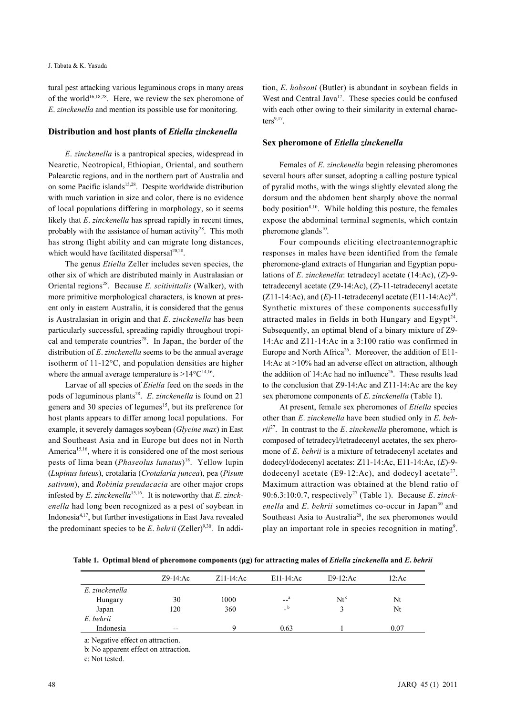tural pest attacking various leguminous crops in many areas of the world<sup>16,18,28</sup>. Here, we review the sex pheromone of *E*. *zinckenella* and mention its possible use for monitoring.

#### **Distribution and host plants of** *Etiella zinckenella*

*E*. *zinckenella* is a pantropical species, widespread in Nearctic, Neotropical, Ethiopian, Oriental, and southern Palearctic regions, and in the northern part of Australia and on some Pacific islands<sup>15,28</sup>. Despite worldwide distribution with much variation in size and color, there is no evidence of local populations differing in morphology, so it seems likely that *E*. *zinckenella* has spread rapidly in recent times, probably with the assistance of human activity<sup>28</sup>. This moth has strong flight ability and can migrate long distances, which would have facilitated dispersal<sup>20,28</sup>.

The genus *Etiella* Zeller includes seven species, the other six of which are distributed mainly in Australasian or Oriental regions28. Because *E*. *scitivittalis* (Walker), with more primitive morphological characters, is known at present only in eastern Australia, it is considered that the genus is Australasian in origin and that *E*. *zinckenella* has been particularly successful, spreading rapidly throughout tropical and temperate countries<sup>28</sup>. In Japan, the border of the distribution of *E*. *zinckenella* seems to be the annual average isotherm of 11-12°C, and population densities are higher where the annual average temperature is  $>14^{\circ}C^{14,16}$ .

Larvae of all species of *Etiella* feed on the seeds in the pods of leguminous plants<sup>28</sup>. *E. zinckenella* is found on 21 genera and 30 species of legumes<sup>15</sup>, but its preference for host plants appears to differ among local populations. For example, it severely damages soybean (*Glycine max*) in East and Southeast Asia and in Europe but does not in North America<sup>15,16</sup>, where it is considered one of the most serious pests of lima bean (*Phaseolus lunatus*) 18. Yellow lupin (*Lupinus luteus*), crotalaria (*Crotalaria juncea*), pea (*Pisum sativum*), and *Robinia pseudacacia* are other major crops infested by *E*. *zinckenella*15,16. It is noteworthy that *E*. *zinckenella* had long been recognized as a pest of soybean in Indonesia4,17, but further investigations in East Java revealed the predominant species to be  $E$ . *behrii* (Zeller)<sup>9,30</sup>. In addi-

tion, *E*. *hobsoni* (Butler) is abundant in soybean fields in West and Central Java<sup>17</sup>. These species could be confused with each other owing to their similarity in external characters $9,17$ .

# **Sex pheromone of** *Etiella zinckenella*

Females of *E*. *zinckenella* begin releasing pheromones several hours after sunset, adopting a calling posture typical of pyralid moths, with the wings slightly elevated along the dorsum and the abdomen bent sharply above the normal body position $8,10$ . While holding this posture, the females expose the abdominal terminal segments, which contain pheromone glands<sup>10</sup>.

Four compounds eliciting electroantennographic responses in males have been identified from the female pheromone-gland extracts of Hungarian and Egyptian populations of *E*. *zinckenella*: tetradecyl acetate (14:Ac), (*Z*)-9 tetradecenyl acetate (Z9-14:Ac), (*Z*)-11-tetradecenyl acetate (Z11-14:Ac), and  $(E)$ -11-tetradecenyl acetate  $(E11-14:Ac)^{24}$ . Synthetic mixtures of these components successfully attracted males in fields in both Hungary and Egypt<sup>24</sup>. Subsequently, an optimal blend of a binary mixture of Z9- 14:Ac and Z11-14:Ac in a 3:100 ratio was confirmed in Europe and North Africa<sup>26</sup>. Moreover, the addition of E11-14:Ac at >10% had an adverse effect on attraction, although the addition of 14: Ac had no influence<sup>26</sup>. These results lead to the conclusion that Z9-14:Ac and Z11-14:Ac are the key sex pheromone components of *E*. *zinckenella* (Table 1).

At present, female sex pheromones of *Etiella* species other than *E*. *zinckenella* have been studied only in *E*. *behrii*27. In contrast to the *E*. *zinckenella* pheromone, which is composed of tetradecyl/tetradecenyl acetates, the sex pheromone of *E*. *behrii* is a mixture of tetradecenyl acetates and dodecyl/dodecenyl acetates: Z11-14:Ac, E11-14:Ac, (*E*)-9 dodecenyl acetate (E9-12:Ac), and dodecyl acetate<sup>27</sup>. Maximum attraction was obtained at the blend ratio of 90:6.3:10:0.7, respectively27 (Table 1). Because *E*. *zinck*enella and *E*. *behrii* sometimes co-occur in Japan<sup>30</sup> and Southeast Asia to Australia<sup>28</sup>, the sex pheromones would play an important role in species recognition in mating<sup>9</sup>.

**Table 1. Optimal blend of pheromone components (μg) for attracting males of** *Etiella zinckenella* **and** *E***.** *behrii*

|                | $Z9-14$ : Ac | $Z11-14$ : Ac | E11-14:Ac                     | $E9-12$ : Ac | 12:Ac |
|----------------|--------------|---------------|-------------------------------|--------------|-------|
| E. zinckenella |              |               |                               |              |       |
| Hungary        | 30           | 1000          | $ a$                          | $Nt^c$       | Nt    |
| Japan          | 120          | 360           | b<br>$\overline{\phantom{0}}$ |              | Nt    |
| E. behrii      |              |               |                               |              |       |
| Indonesia      | $- -$        |               | 0.63                          |              | 0.07  |

a: Negative effect on attraction.

b: No apparent effect on attraction.

c: Not tested.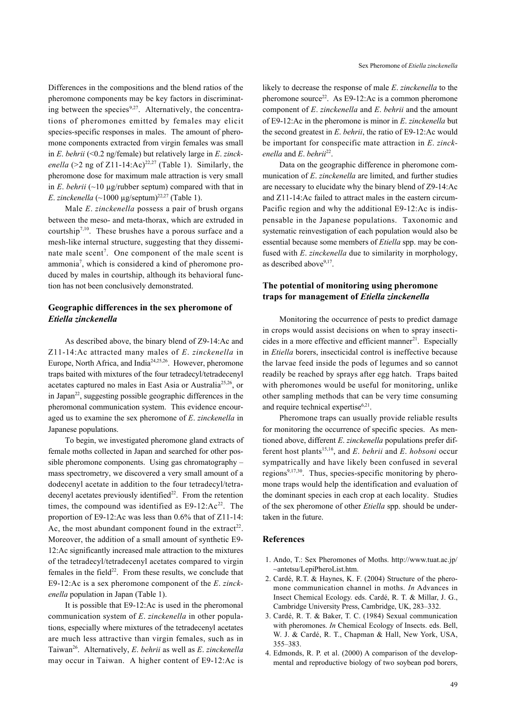Differences in the compositions and the blend ratios of the pheromone components may be key factors in discriminating between the species $9,27$ . Alternatively, the concentrations of pheromones emitted by females may elicit species-specific responses in males. The amount of pheromone components extracted from virgin females was small in *E*. *behrii* (<0.2 ng/female) but relatively large in *E*. *zinckenella* (>2 ng of Z11-14:Ac)<sup>22,27</sup> (Table 1). Similarly, the pheromone dose for maximum male attraction is very small in *E*. *behrii* ( $\sim$ 10 µg/rubber septum) compared with that in *E*. *zinckenella* (~1000 µg/septum)<sup>22,27</sup> (Table 1).

Male *E*. *zinckenella* possess a pair of brush organs between the meso- and meta-thorax, which are extruded in courtship7,10. These brushes have a porous surface and a mesh-like internal structure, suggesting that they disseminate male scent<sup>7</sup>. One component of the male scent is ammonia7 , which is considered a kind of pheromone produced by males in courtship, although its behavioral function has not been conclusively demonstrated.

# **Geographic differences in the sex pheromone of**  *Etiella zinckenella*

As described above, the binary blend of Z9-14:Ac and Z11-14:Ac attracted many males of *E*. *zinckenella* in Europe, North Africa, and India<sup>24,25,26</sup>. However, pheromone traps baited with mixtures of the four tetradecyl/tetradecenyl acetates captured no males in East Asia or Australia<sup>25,26</sup>, or in Japan<sup>22</sup>, suggesting possible geographic differences in the pheromonal communication system. This evidence encouraged us to examine the sex pheromone of *E*. *zinckenella* in Japanese populations.

To begin, we investigated pheromone gland extracts of female moths collected in Japan and searched for other possible pheromone components. Using gas chromatography – mass spectrometry, we discovered a very small amount of a dodecenyl acetate in addition to the four tetradecyl/tetradecenyl acetates previously identified $22$ . From the retention times, the compound was identified as  $E9-12$ : Ac<sup>22</sup>. The proportion of E9-12:Ac was less than 0.6% that of Z11-14: Ac, the most abundant component found in the extract<sup>22</sup>. Moreover, the addition of a small amount of synthetic E9- 12:Ac significantly increased male attraction to the mixtures of the tetradecyl/tetradecenyl acetates compared to virgin females in the field $2^2$ . From these results, we conclude that E9-12:Ac is a sex pheromone component of the *E*. *zinckenella* population in Japan (Table 1).

It is possible that E9-12:Ac is used in the pheromonal communication system of *E*. *zinckenella* in other populations, especially where mixtures of the tetradecenyl acetates are much less attractive than virgin females, such as in Taiwan26. Alternatively, *E*. *behrii* as well as *E*. *zinckenella* may occur in Taiwan. A higher content of E9-12:Ac is

likely to decrease the response of male *E*. *zinckenella* to the pheromone source<sup>22</sup>. As E9-12:Ac is a common pheromone component of *E*. *zinckenella* and *E*. *behrii* and the amount of E9-12:Ac in the pheromone is minor in *E*. *zinckenella* but the second greatest in *E*. *behrii*, the ratio of E9-12:Ac would be important for conspecific mate attraction in *E*. *zinckenella* and *E*. *behrii*22.

Data on the geographic difference in pheromone communication of *E*. *zinckenella* are limited, and further studies are necessary to elucidate why the binary blend of Z9-14:Ac and Z11-14:Ac failed to attract males in the eastern circum-Pacific region and why the additional E9-12:Ac is indispensable in the Japanese populations. Taxonomic and systematic reinvestigation of each population would also be essential because some members of *Etiella* spp. may be confused with *E*. *zinckenella* due to similarity in morphology, as described above<sup>9,17</sup>.

# **The potential of monitoring using pheromone traps for management of** *Etiella zinckenella*

Monitoring the occurrence of pests to predict damage in crops would assist decisions on when to spray insecticides in a more effective and efficient manner<sup>21</sup>. Especially in *Etiella* borers, insecticidal control is ineffective because the larvae feed inside the pods of legumes and so cannot readily be reached by sprays after egg hatch. Traps baited with pheromones would be useful for monitoring, unlike other sampling methods that can be very time consuming and require technical expertise $6,21$ .

Pheromone traps can usually provide reliable results for monitoring the occurrence of specific species. As mentioned above, different *E*. *zinckenella* populations prefer different host plants15,16, and *E*. *behrii* and *E*. *hobsoni* occur sympatrically and have likely been confused in several regions<sup>9,17,30</sup>. Thus, species-specific monitoring by pheromone traps would help the identification and evaluation of the dominant species in each crop at each locality. Studies of the sex pheromone of other *Etiella* spp. should be undertaken in the future.

#### **References**

- 1. Ando, T.: Sex Pheromones of Moths. http://www.tuat.ac.jp/ ~antetsu/LepiPheroList.htm.
- 2. Cardé, R.T. & Haynes, K. F. (2004) Structure of the pheromone communication channel in moths. *In* Advances in Insect Chemical Ecology. eds. Cardé, R. T. & Millar, J. G., Cambridge University Press, Cambridge, UK, 283–332.
- 3. Cardé, R. T. & Baker, T. C. (1984) Sexual communication with pheromones. *In* Chemical Ecology of Insects. eds. Bell, W. J. & Cardé, R. T., Chapman & Hall, New York, USA, 355–383.
- 4. Edmonds, R. P. et al. (2000) A comparison of the developmental and reproductive biology of two soybean pod borers,